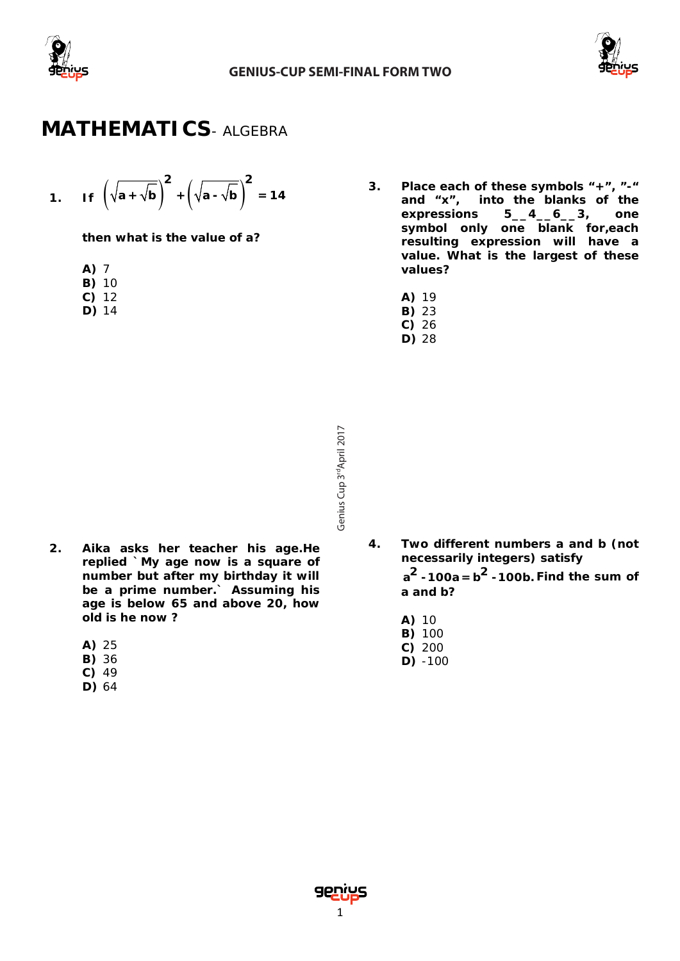



### **MATHEMATICS***- ALGEBRA*

1. If 
$$
\left(\sqrt{a} + \sqrt{b}\right)^2 + \left(\sqrt{a} - \sqrt{b}\right)^2 = 14
$$

**then what is the value of a?**

- **A)** 7
- **B)** 10
- **C)** 12
- **D)** 14
- **3. Place each of these symbols "+", "-" and "x", into the blanks of the expressions 5\_\_4\_\_6\_\_3, one symbol only one blank for,each resulting expression will have a value. What is the largest of these values?**
	- **A)** 19
	- **B)** 23
	- **C)** 26 **D)** 28
- Genius Cup 3<sup>rd</sup>April 2017 Cup 3<sup>rd</sup>April 2017
- **2. Aika asks her teacher his age.He replied `My age now is a square of number but after my birthday it will be a prime number.` Assuming his age is below 65 and above 20, how old is he now ?**
	- **A)** 25
	- **B)** 36
	- **C)** 49
	- **D)** 64
- **4. Two different numbers a and b (not necessarily integers) satisfy**   $a^2 - 100a = b^2 - 100b$ . Find the sum of **a and b?**
	- **A)** 10
	- **B)** 100
	- **C)** 200 **D)** -100

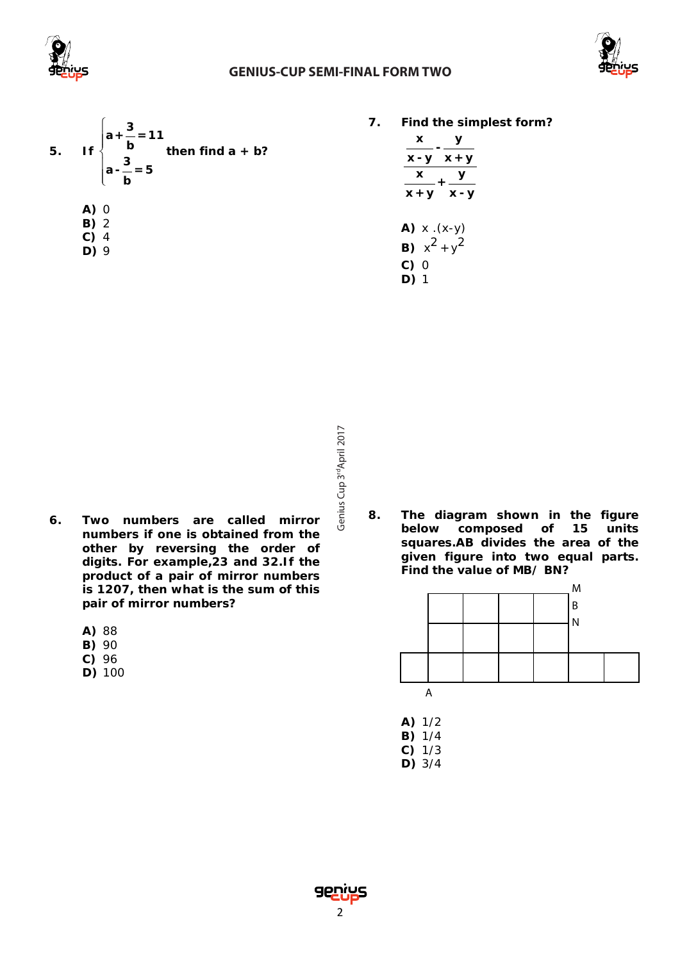

#### **GENIUS-CUP SEMI-FINAL FORM TWO**





**7. Find the simplest form?**

| x                                                            |         |  |  |
|--------------------------------------------------------------|---------|--|--|
| х - у                                                        | $x + y$ |  |  |
| X                                                            | $+$ -   |  |  |
| $x + y$                                                      | $x - y$ |  |  |
| $A)$ x $(x-y)$<br><b>B)</b> $x^2 + y^2$<br>C)<br>- 0<br>D) 1 |         |  |  |

- Genius Cup 3<sup>rd</sup>April 2017 Cup 3<sup>rd</sup>April 2017
- **6. Two numbers are called mirror numbers if one is obtained from the other by reversing the order of digits. For example,23 and 32.If the product of a pair of mirror numbers is 1207, then what is the sum of this pair of mirror numbers?**
	- **A)** 88
	- **B)** 90
	- **C)** 96
	- **D)** 100

**8. The diagram shown in the figure below composed of 15 units squares.AB divides the area of the given figure into two equal parts. Find the value of MB/ BN?**



- **A)** 1/2
- **B)** 1/4
- **C)** 1/3 **D)** 3/4
	-

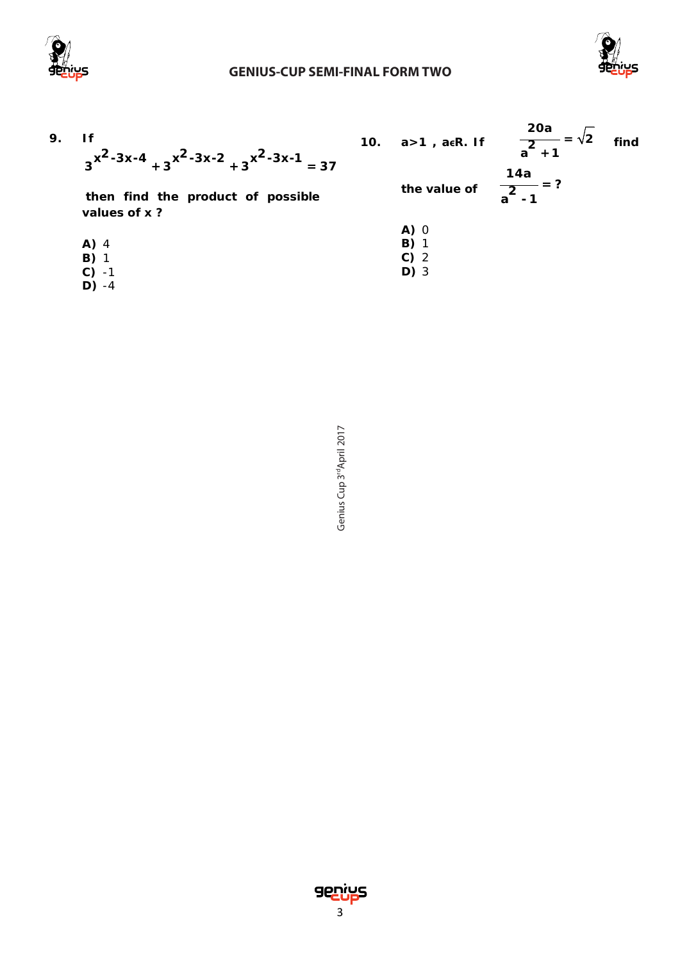

#### **GENIUS-CUP SEMI-FINAL FORM TWO**



| 9. | 1f<br>$3^{x^2-3x-4}+3^{x^2-3x-2}+3^{x^2-3x-1}=37$<br>then find the product of possible<br>values of x? | 10. | а>1 , аєR. If<br>the value of | <b>20a</b><br>$\overline{a^2+1}$<br>14a<br>$\frac{2}{a^2-1}$ = ? | find |
|----|--------------------------------------------------------------------------------------------------------|-----|-------------------------------|------------------------------------------------------------------|------|
|    |                                                                                                        |     | A) 0                          |                                                                  |      |
|    | A) 4                                                                                                   |     | B)                            |                                                                  |      |
|    | $B)$ 1                                                                                                 |     | $C)$ 2                        |                                                                  |      |
|    | C)                                                                                                     |     | D) 3                          |                                                                  |      |
|    |                                                                                                        |     |                               |                                                                  |      |

**D)** -4

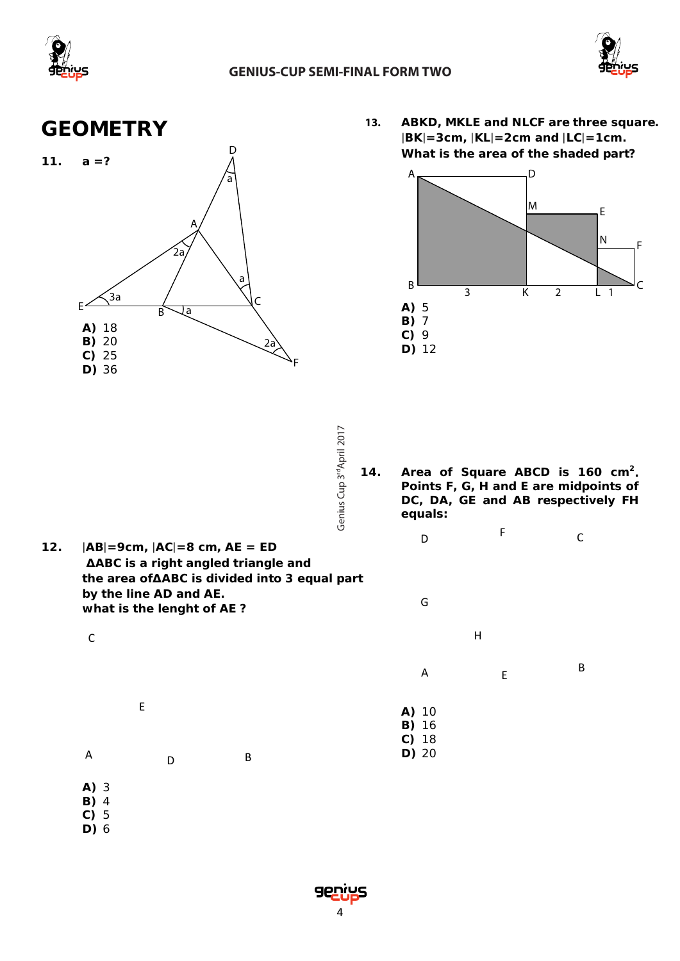



### **GEOMETRY**



**13. ABKD, MKLE and NLCF are three square.** |**BK**|**=3cm,** |**KL**|**=2cm and** |**LC**|**=1cm. What is the area of the shaded part?**



- Genius Cup 3<sup>rd</sup>April 2017 Cup 3<sup>rd</sup>April 2017
- 14. Area of Square ABCD is 160 cm<sup>2</sup>. **Points F, G, H and E are midpoints of DC, DA, GE and AB respectively FH equals:**

D F C

H

G

- **12.** |**AB**|**=9cm,** |**AC**|**=8 cm, AE = ED ∆ABC is a right angled triangle and the area of∆ABC is divided into 3 equal part by the line AD and AE. what is the lenght of AE ?**
- **P**<br>**P**<br>**P**<br>**P A)** 10 **B)** 16 **C)** 18 **D)** 20 A  $E$  B D E C A D B
	- **A)** 3 **B)** 4
	- **C)** 5 **D)** 6
		-

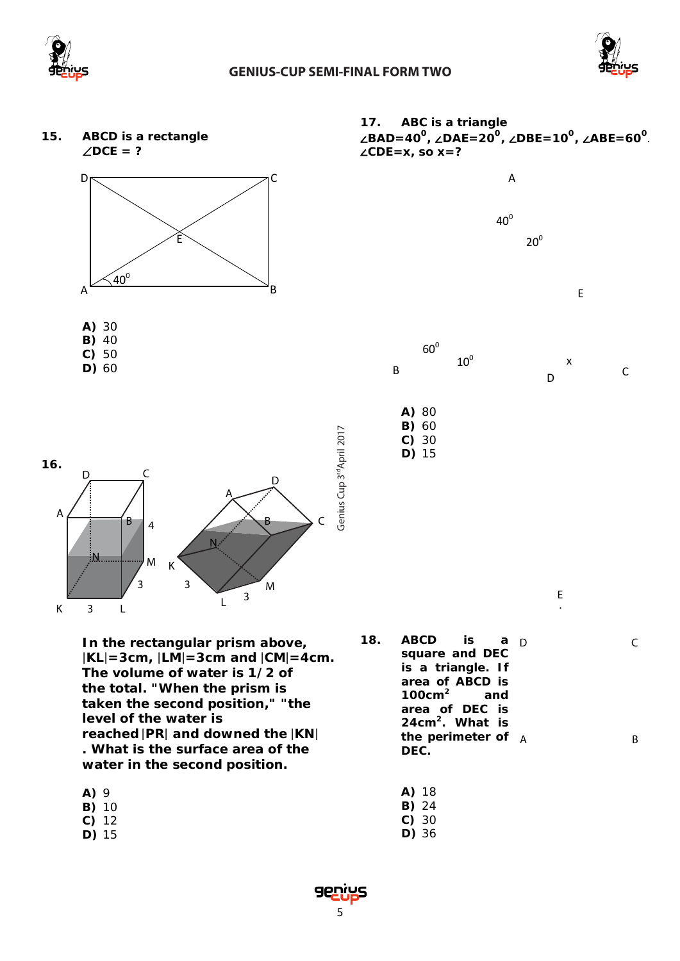









**D)** 60



B <sup>c</sup>

D

E

.

C

<sup>∠</sup>**BAD=400 ,** ∠**DAE=200 ,** ∠**DBE=100 ,** ∠**ABE=60<sup>0</sup>** .

**17. ABC is a triangle**

∠**CDE=x, so x=?**

**A)** 80 **B)** 60 **C)** 30 **D)** 15



**In the rectangular prism above,**  |**KL**|**=3cm,** |**LM**|**=3cm and** |**CM**|**=4cm. The volume of water is 1/2 of the total. "When the prism is taken the second position," "the level of the water is reached** |**PR**| **and downed the** |**KN**| **. What is the surface area of the water in the second position.**

- **A)** 9 **B)** 10 **C)** 12 **D)** 15
- **18. ABCD is a square and DEC is a triangle. If area of ABCD is 100cm2 and area of DEC is 24cm2. What is the perimeter of DEC.**  D A B
	- **A)** 18
	- **B)** 24
	- **C)** 30
	- **D)** 36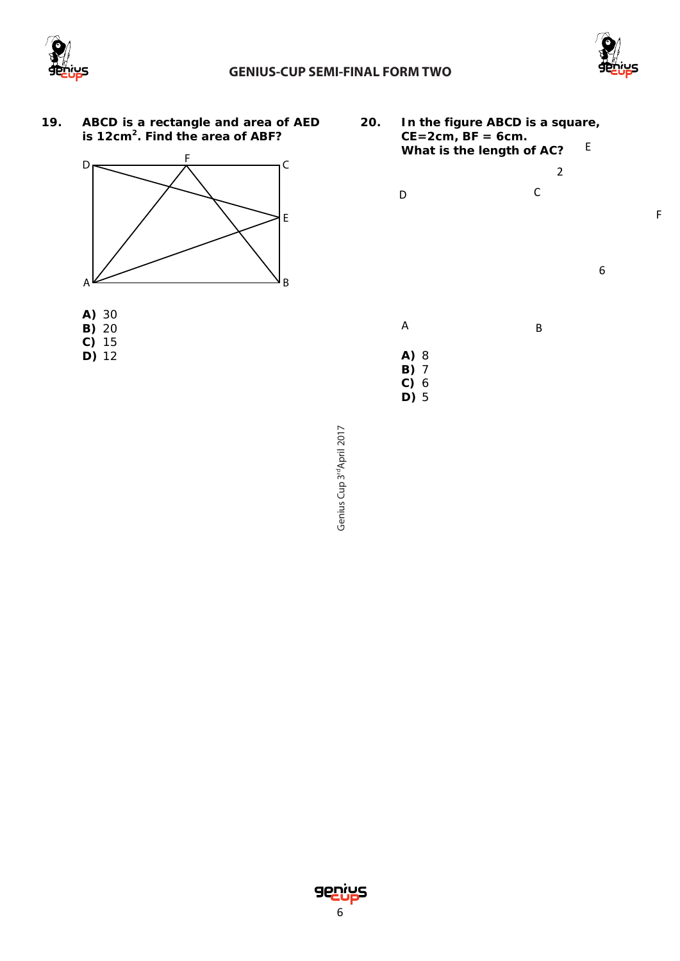



F

- **19. ABCD is a rectangle and area of AED is 12cm2. Find the area of ABF?**
- **20. In the figure ABCD is a square, CE=2cm, BF = 6cm. What is the length of AC?** E





**D)** 12

**A)** 8 **B)** 7 A B D C 6 2

Genius Cup 3<sup>rd</sup>April 2017 Cup 3<sup>rd</sup>April 2017

**C)** 6 **D)** 5

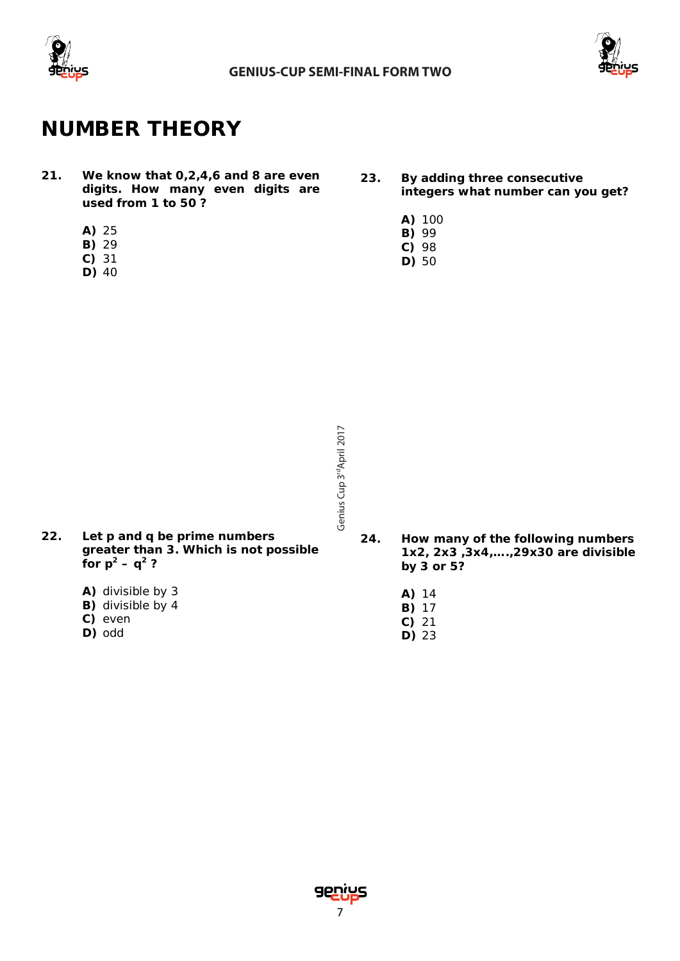



## **NUMBER THEORY**

- **21. We know that 0,2,4,6 and 8 are even digits. How many even digits are used from 1 to 50 ?**
	- **A)** 25
	- **B)** 29
	- **C)** 31
	- **D)** 40
- **23. By adding three consecutive integers what number can you get?**
	- **A)** 100
	- **B)** 99
	- **C)** 98
	- **D)** 50

- Genius Cup 3<sup>rd</sup>April 2017 Cup 3<sup>rd</sup>April 2017
- **22. Let p and q be prime numbers greater than 3. Which is not possible for**  $p^2 - q^2$  ?
	- **A)** divisible by 3
	- **B)** divisible by 4
	- **C)** even
	- **D)** odd
- **24. How many of the following numbers 1x2, 2x3 ,3x4,….,29x30 are divisible by 3 or 5?** 
	- **A)** 14
	- **B)** 17
	- **C)** 21 **D)** 23
- 7<br>Genius<br>7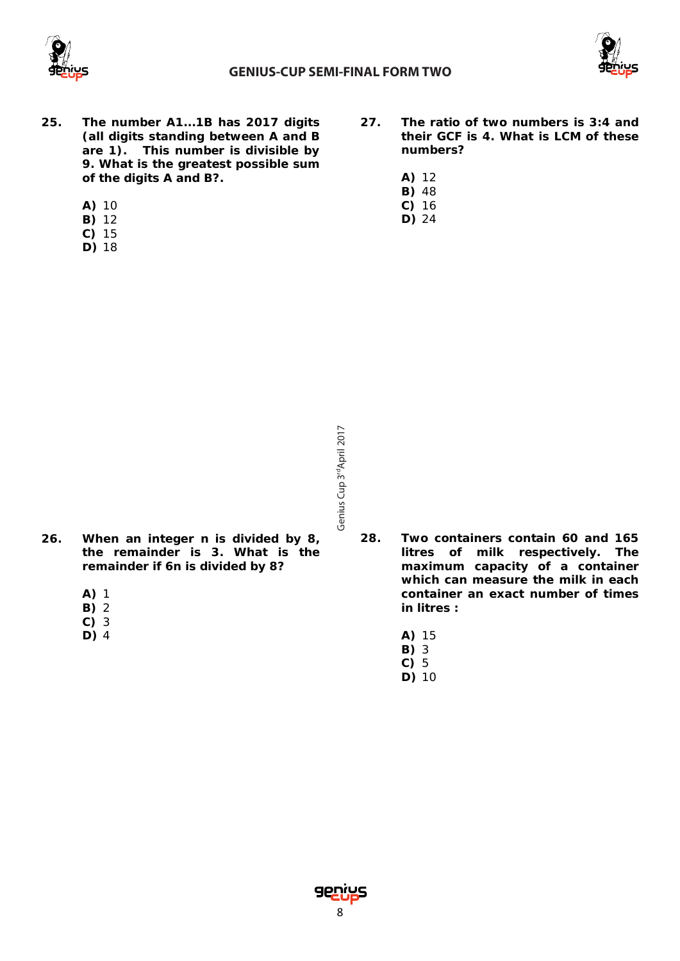



- **25. The number A1...1B has 2017 digits (all digits standing between A and B are 1). This number is divisible by 9. What is the greatest possible sum of the digits A and B?.**
	- **A)** 10
	- **B)** 12
	- **C)** 15
	- **D)** 18
- **27. The ratio of two numbers is 3:4 and their GCF is 4. What is LCM of these numbers?**
	- **A)** 12
	- **B)** 48
	- **C)** 16 **D)** 24

- Genius Cup 3<sup>rd</sup>April 2017 Cup 3<sup>rd</sup>April 2017
- **26. When an integer n is divided by 8, the remainder is 3. What is the remainder if 6n is divided by 8?**
	- **A)** 1
	- **B)** 2
	- **C)** 3
	- **D)** 4
- **28. Two containers contain 60 and 165 litres of milk respectively. The maximum capacity of a container which can measure the milk in each container an exact number of times in litres :** 
	- **A)** 15
	- **B)** 3
	- **C)** 5 **D)** 10

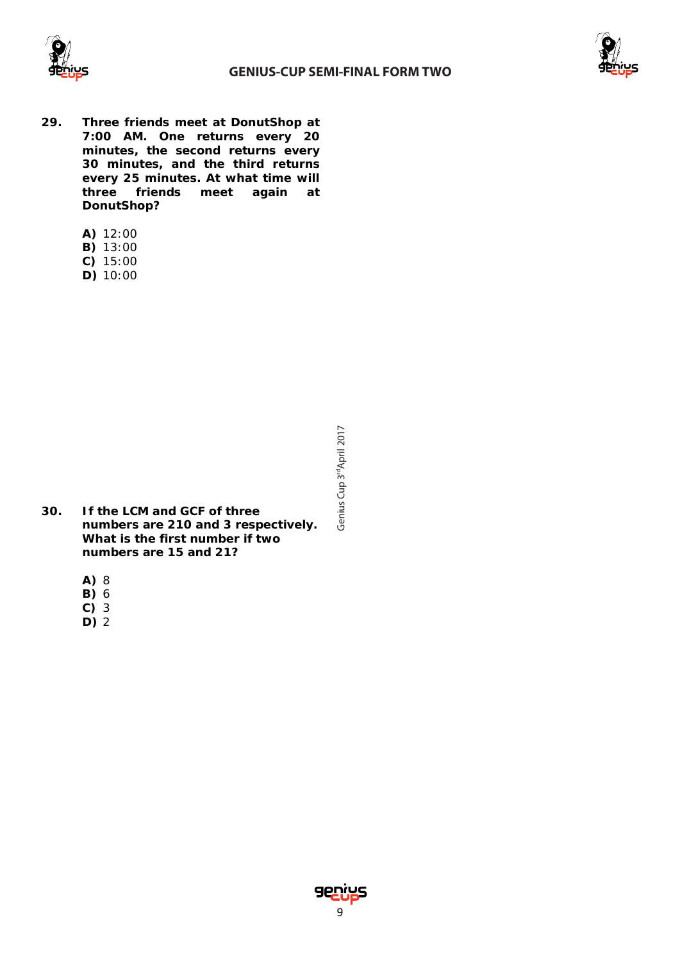



- **29. Three friends meet at DonutShop at 7:00 AM. One returns every 20 minutes, the second returns every 30 minutes, and the third returns every 25 minutes. At what time will three friends meet again at DonutShop?**
	- **A)** 12:00
	- **B)** 13:00
	- **C)** 15:00
	- **D)** 10:00

- **30. If the LCM and GCF of three numbers are 210 and 3 respectively. What is the first number if two numbers are 15 and 21?**
	- **A)** 8
	- **B)** 6
	- **C)** 3
	- **D)** 2

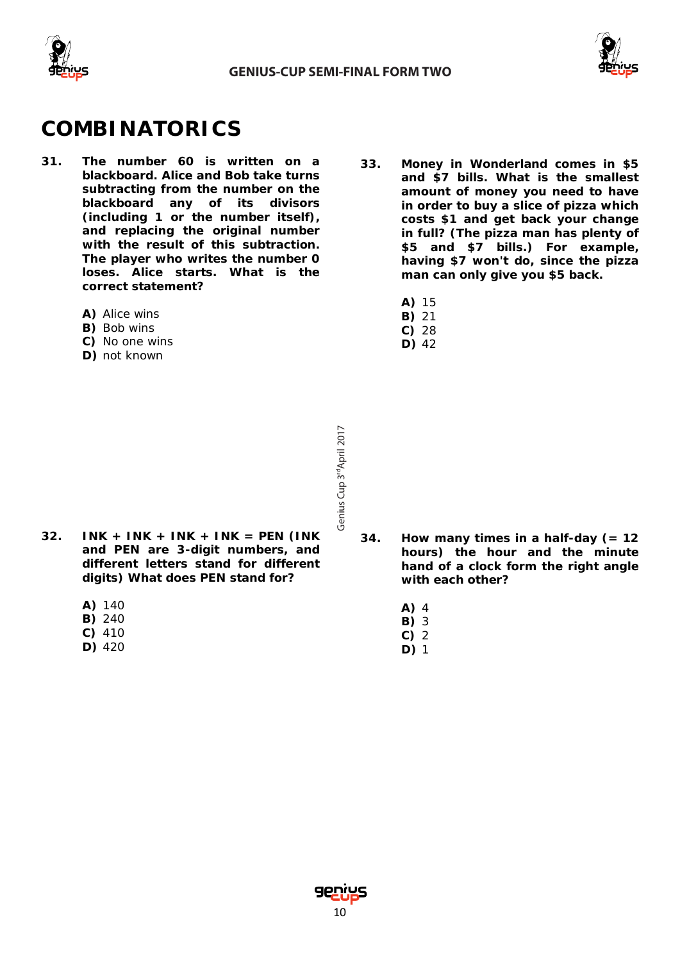



## **COMBINATORICS**

- **31. The number 60 is written on a blackboard. Alice and Bob take turns subtracting from the number on the blackboard any of its divisors (including 1 or the number itself), and replacing the original number with the result of this subtraction. The player who writes the number 0 loses. Alice starts. What is the correct statement?** 
	- **A)** Alice wins
	- **B)** Bob wins
	- **C)** No one wins
	- **D)** not known
- **33. Money in Wonderland comes in \$5 and \$7 bills. What is the smallest amount of money you need to have in order to buy a slice of pizza which costs \$1 and get back your change in full? (The pizza man has plenty of \$5 and \$7 bills.) For example, having \$7 won't do, since the pizza man can only give you \$5 back.**
	- **A)** 15
	- **B)** 21
	- **C)** 28 **D)** 42

- **32. INK + INK + INK + INK = PEN (INK and PEN are 3-digit numbers, and different letters stand for different digits) What does PEN stand for?**
	- **A)** 140
	- **B)** 240
	- **C)** 410
	- **D)** 420

- **34. How many times in a half-day (= 12 hours) the hour and the minute hand of a clock form the right angle with each other?**
	- **A)** 4
	- **B)** 3
	- **C)** 2
	- **D)** 1

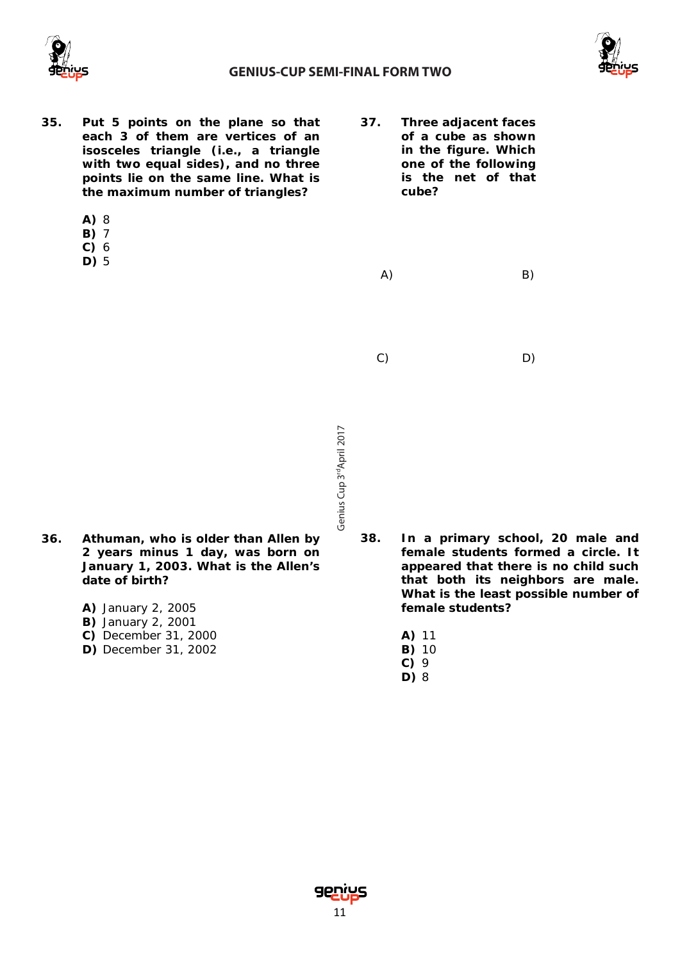



- **35. Put 5 points on the plane so that each 3 of them are vertices of an isosceles triangle (i.e., a triangle with two equal sides), and no three points lie on the same line. What is the maximum number of triangles?** 
	- **A)** 8
	- **B)** 7
	- **C)** 6
	- **D)** 5

**37. Three adjacent faces of a cube as shown in the figure. Which one of the following is the net of that cube?** 

A) B)

C) D)

- Genius Cup 3<sup>rd</sup>April 2017 Cup 3<sup>rd</sup>April 2017
- **36. Athuman, who is older than Allen by 2 years minus 1 day, was born on January 1, 2003. What is the Allen's date of birth?** 
	- **A)** January 2, 2005
	- **B)** January 2, 2001
	- **C)** December 31, 2000
	- **D)** December 31, 2002

**38. In a primary school, 20 male and female students formed a circle. It appeared that there is no child such that both its neighbors are male. What is the least possible number of female students?**

- **A)** 11
- **B)** 10
- **C)** 9
- **D)** 8

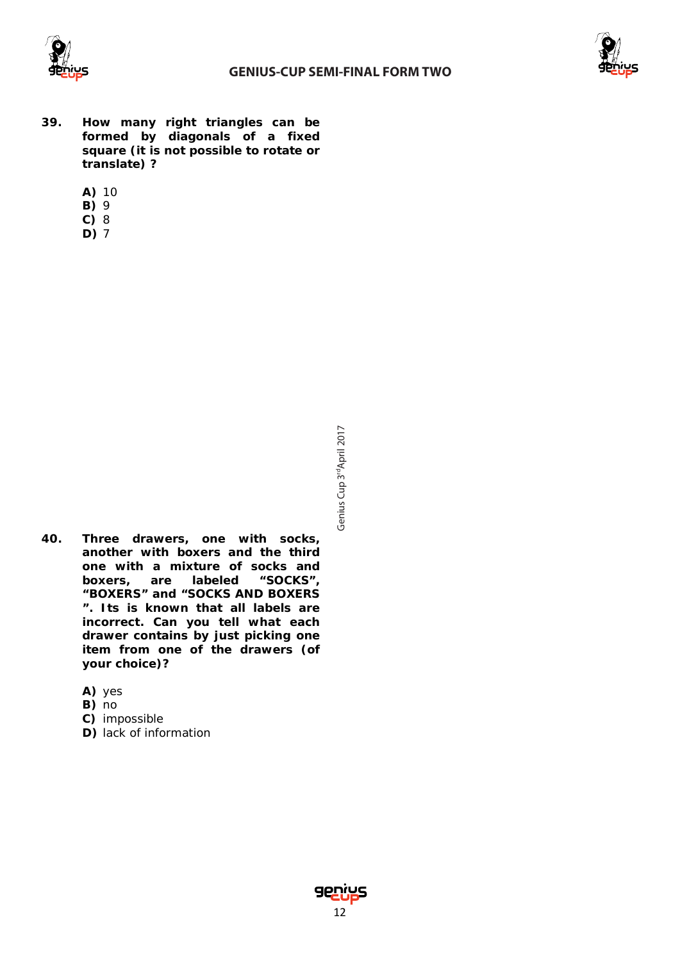



- **39. How many right triangles can be formed by diagonals of a fixed square (it is not possible to rotate or translate) ?**
	- **A)** 10
	- **B)** 9
	- **C)** 8
	- **D)** 7

- **40. Three drawers, one with socks, another with boxers and the third one with a mixture of socks and boxers, are labeled "SOCKS", "BOXERS" and "SOCKS AND BOXERS ". Its is known that all labels are incorrect. Can you tell what each drawer contains by just picking one item from one of the drawers (of your choice)?**
	- **A)** yes
	- **B)** no
	- **C)** impossible
	- **D)** lack of information

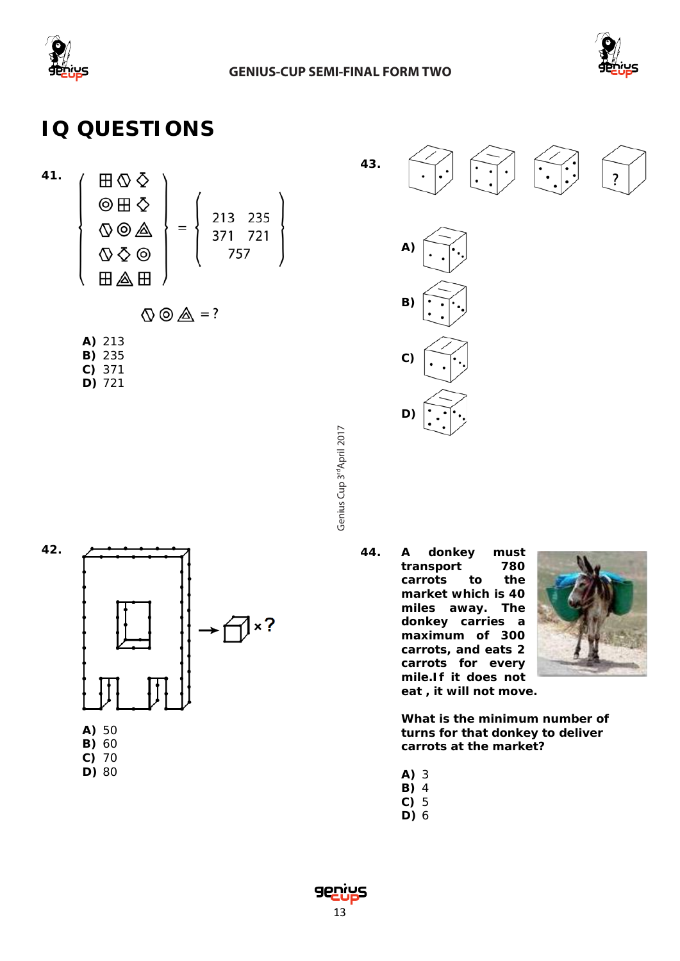



# **IQ QUESTIONS**

$$
\left\{\n\begin{array}{c}\n\boxplus \bigcirc \bigcirc \bigcirc \\
\text{②} \boxplus \bigcirc \bigcirc \\
\text{④} \bigcirc \bigcirc \bigcirc \bigcirc \\
\text{④} \bigcirc \bigcirc \bigcirc \bigcirc \\
\text{②} \bigcirc \bigcirc \bigcirc \bigcirc\n\end{array}\n\right\} = \left\{\n\begin{array}{c}\n213 \quad 235 \\
371 \quad 721 \\
757\n\end{array}\n\right\}
$$

$$
\mathbb{Q} \circledcirc \mathbb{A} = ?
$$

**A)** 213 **B)** 235 **C)** 371 **D)** 721

> Genius Cup 3<sup>rd</sup>April 2017 Cup 3<sup>rd</sup>April 2017



- **B)** 60 **C)** 70
- **D)** 80





**44. A donkey must**  transport **carrots to the market which is 40 miles away. The donkey carries a maximum of 300 carrots, and eats 2 carrots for every mile.If it does not eat , it will not move.**



**What is the minimum number of turns for that donkey to deliver carrots at the market?**

- **A)** 3
- **B)** 4
- **C)** 5
- **D)** 6

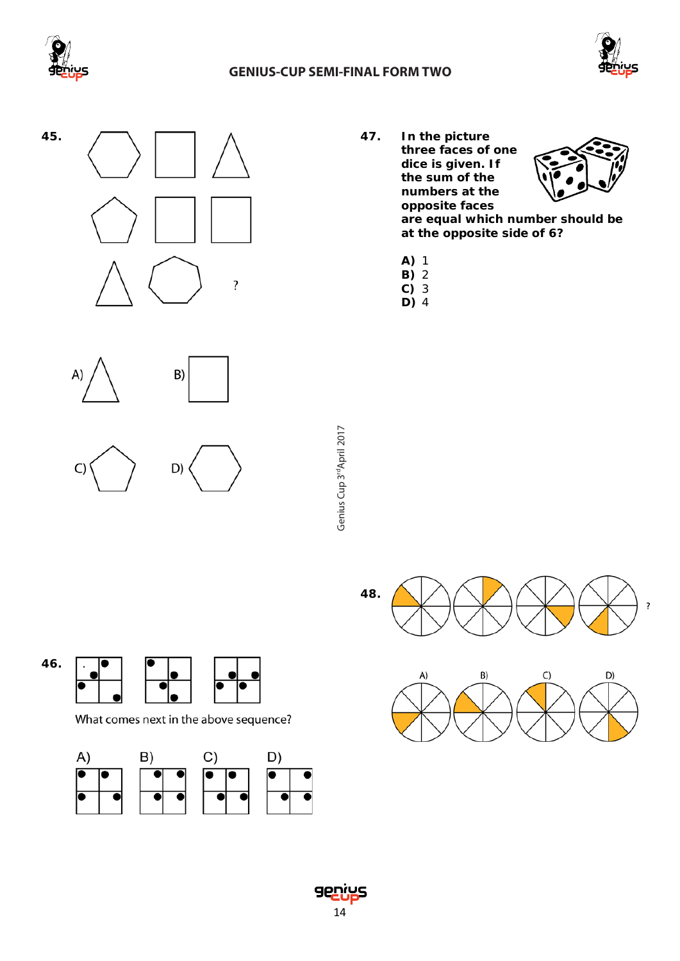

#### **GENIUS-CUP SEMI-FINAL FORM TWO**









What comes next in the above sequence?